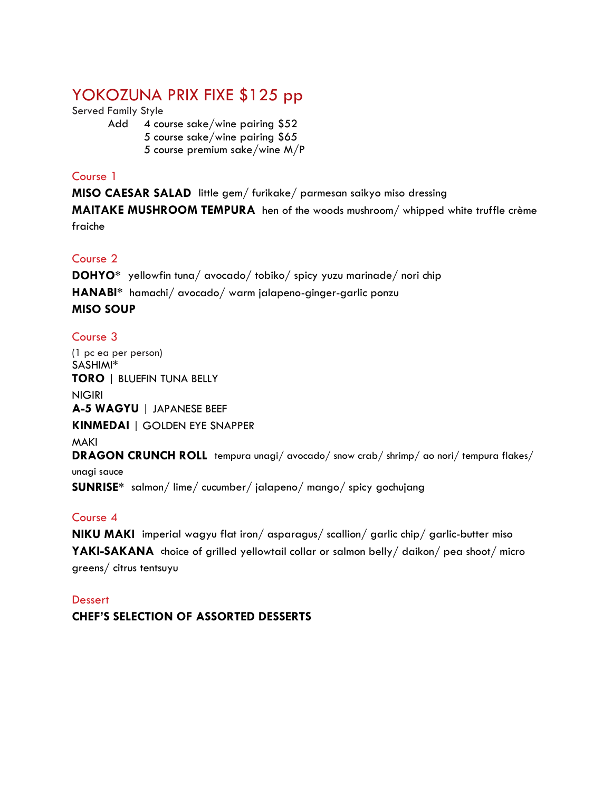# YOKOZUNA PRIX FIXE \$125 pp

Served Family Style

Add 4 course sake/wine pairing \$52 5 course sake/wine pairing \$65

5 course premium sake/wine M/P

#### Course 1

**MISO CAESAR SALAD** little gem/ furikake/ parmesan saikyo miso dressing **MAITAKE MUSHROOM TEMPURA** hen of the woods mushroom/ whipped white truffle crème fraiche

## Course 2

**DOHYO\*** yellowfin tuna/ avocado/ tobiko/ spicy yuzu marinade/ nori chip **HANABI\*** hamachi/ avocado/ warm jalapeno-ginger-garlic ponzu **MISO SOUP**

## Course 3

(1 pc ea per person) SASHIMI\* **TORO** | BLUEFIN TUNA BELLY NIGIRI **A-5 WAGYU** | JAPANESE BEEF **KINMEDAI** | GOLDEN EYE SNAPPER MAKI **DRAGON CRUNCH ROLL** tempura unagi/ avocado/ snow crab/ shrimp/ ao nori/ tempura flakes/ unagi sauce **SUNRISE\*** salmon/ lime/ cucumber/ jalapeno/ mango/ spicy gochujang

## Course 4

**NIKU MAKI** imperial wagyu flat iron/ asparagus/ scallion/ garlic chip/ garlic-butter miso **YAKI-SAKANA** choice of grilled yellowtail collar or salmon belly/ daikon/ pea shoot/ micro greens/ citrus tentsuyu

#### **Dessert**

## **CHEF'S SELECTION OF ASSORTED DESSERTS**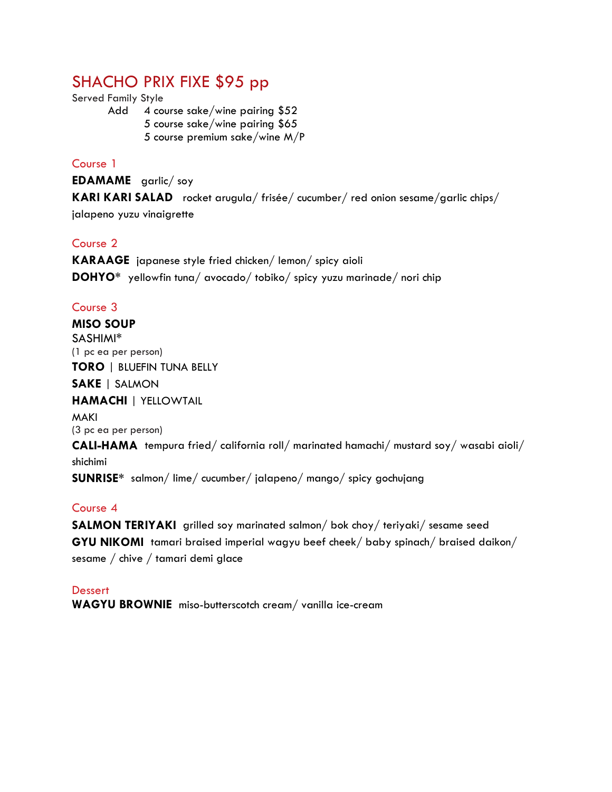# SHACHO PRIX FIXE \$95 pp

Served Family Style

Add 4 course sake/wine pairing \$52 5 course sake/wine pairing \$65 5 course premium sake/wine M/P

## Course 1

**EDAMAME** garlic/ soy

**KARI KARI SALAD** rocket arugula/ frisée/ cucumber/ red onion sesame/garlic chips/ jalapeno yuzu vinaigrette

## Course 2

**KARAAGE** japanese style fried chicken/ lemon/ spicy aioli **DOHYO\*** yellowfin tuna/ avocado/ tobiko/ spicy yuzu marinade/ nori chip

## Course 3

**MISO SOUP** SASHIMI\* (1 pc ea per person) **TORO** | BLUEFIN TUNA BELLY

**SAKE** | SALMON

**HAMACHI** | YELLOWTAIL

MAKI (3 pc ea per person)

**CALI-HAMA** tempura fried/ california roll/ marinated hamachi/ mustard soy/ wasabi aioli/ shichimi

**SUNRISE\*** salmon/ lime/ cucumber/ jalapeno/ mango/ spicy gochujang

## Course 4

**SALMON TERIYAKI** grilled soy marinated salmon/ bok choy/ teriyaki/ sesame seed **GYU NIKOMI** tamari braised imperial wagyu beef cheek/ baby spinach/ braised daikon/ sesame / chive / tamari demi glace

## **Dessert**

**WAGYU BROWNIE** miso-butterscotch cream/ vanilla ice-cream